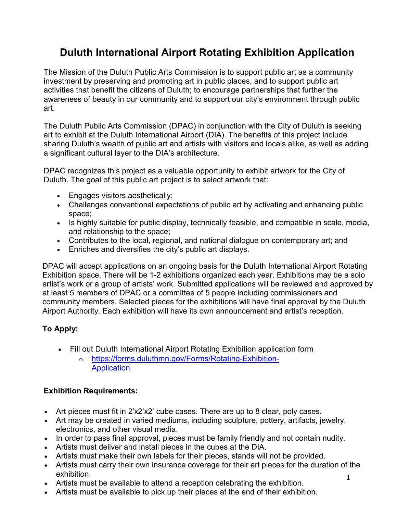# **Duluth International Airport Rotating Exhibition Application**

The Mission of the Duluth Public Arts Commission is to support public art as a community investment by preserving and promoting art in public places, and to support public art activities that benefit the citizens of Duluth; to encourage partnerships that further the awareness of beauty in our community and to support our city's environment through public art.

The Duluth Public Arts Commission (DPAC) in conjunction with the City of Duluth is seeking art to exhibit at the Duluth International Airport (DIA). The benefits of this project include sharing Duluth's wealth of public art and artists with visitors and locals alike, as well as adding a significant cultural layer to the DIA's architecture.

DPAC recognizes this project as a valuable opportunity to exhibit artwork for the City of Duluth. The goal of this public art project is to select artwork that:

- Engages visitors aesthetically;
- Challenges conventional expectations of public art by activating and enhancing public space;
- Is highly suitable for public display, technically feasible, and compatible in scale, media, and relationship to the space;
- Contributes to the local, regional, and national dialogue on contemporary art; and
- Enriches and diversifies the city's public art displays.

DPAC will accept applications on an ongoing basis for the Duluth International Airport Rotating Exhibition space. There will be 1-2 exhibitions organized each year. Exhibitions may be a solo artist's work or a group of artists' work. Submitted applications will be reviewed and approved by at least 5 members of DPAC or a committee of 5 people including commissioners and community members. Selected pieces for the exhibitions will have final approval by the Duluth Airport Author[ity. Each exhibition will have its own announcement and](https://forms.duluthmn.gov/Forms/Rotating-Exhibition-Application) artist's reception.

# **To Apply:**

- Fill out Duluth International Airport Rotating Exhibition application form
	- o https://forms.duluthmn.gov/Forms/Rotating-Exhibition-**Application**

# **Exhibition Requirements:**

- Art pieces must fit in 2'x2'x2' cube cases. There are up to 8 clear, poly cases.
- Art may be created in varied mediums, including sculpture, pottery, artifacts, jewelry, electronics, and other visual media.
- In order to pass final approval, pieces must be family friendly and not contain nudity.
- Artists must deliver and install pieces in the cubes at the DIA.
- Artists must make their own labels for their pieces, stands will not be provided.
- Artists must carry their own insurance coverage for their art pieces for the duration of the exhibition.
- Artists must be available to attend a reception celebrating the exhibition.
- Artists must be available to pick up their pieces at the end of their exhibition.